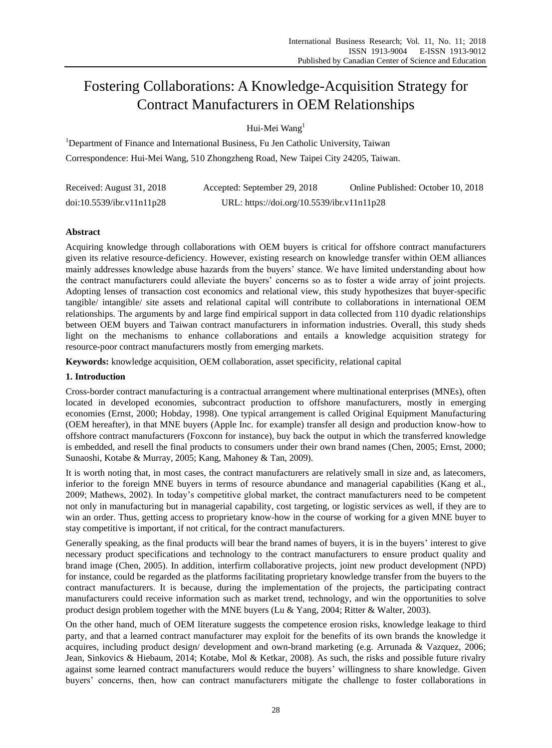# Fostering Collaborations: A Knowledge-Acquisition Strategy for Contract Manufacturers in OEM Relationships

Hui-Mei Wang<sup>1</sup>

<sup>1</sup>Department of Finance and International Business, Fu Jen Catholic University, Taiwan Correspondence: Hui-Mei Wang, 510 Zhongzheng Road, New Taipei City 24205, Taiwan.

| Received: August 31, 2018 | Accepted: September 29, 2018               | Online Published: October 10, 2018 |
|---------------------------|--------------------------------------------|------------------------------------|
| doi:10.5539/ibr.v11n11p28 | URL: https://doi.org/10.5539/ibr.v11n11p28 |                                    |

# **Abstract**

Acquiring knowledge through collaborations with OEM buyers is critical for offshore contract manufacturers given its relative resource-deficiency. However, existing research on knowledge transfer within OEM alliances mainly addresses knowledge abuse hazards from the buyers' stance. We have limited understanding about how the contract manufacturers could alleviate the buyers' concerns so as to foster a wide array of joint projects. Adopting lenses of transaction cost economics and relational view, this study hypothesizes that buyer-specific tangible/ intangible/ site assets and relational capital will contribute to collaborations in international OEM relationships. The arguments by and large find empirical support in data collected from 110 dyadic relationships between OEM buyers and Taiwan contract manufacturers in information industries. Overall, this study sheds light on the mechanisms to enhance collaborations and entails a knowledge acquisition strategy for resource-poor contract manufacturers mostly from emerging markets.

**Keywords:** knowledge acquisition, OEM collaboration, asset specificity, relational capital

# **1. Introduction**

Cross-border contract manufacturing is a contractual arrangement where multinational enterprises (MNEs), often located in developed economies, subcontract production to offshore manufacturers, mostly in emerging economies (Ernst, 2000; Hobday, 1998). One typical arrangement is called Original Equipment Manufacturing (OEM hereafter), in that MNE buyers (Apple Inc. for example) transfer all design and production know-how to offshore contract manufacturers (Foxconn for instance), buy back the output in which the transferred knowledge is embedded, and resell the final products to consumers under their own brand names (Chen, 2005; Ernst, 2000; Sunaoshi, Kotabe & Murray, 2005; Kang, Mahoney & Tan, 2009).

It is worth noting that, in most cases, the contract manufacturers are relatively small in size and, as latecomers, inferior to the foreign MNE buyers in terms of resource abundance and managerial capabilities (Kang et al., 2009; Mathews, 2002). In today's competitive global market, the contract manufacturers need to be competent not only in manufacturing but in managerial capability, cost targeting, or logistic services as well, if they are to win an order. Thus, getting access to proprietary know-how in the course of working for a given MNE buyer to stay competitive is important, if not critical, for the contract manufacturers.

Generally speaking, as the final products will bear the brand names of buyers, it is in the buyers' interest to give necessary product specifications and technology to the contract manufacturers to ensure product quality and brand image (Chen, 2005). In addition, interfirm collaborative projects, joint new product development (NPD) for instance, could be regarded as the platforms facilitating proprietary knowledge transfer from the buyers to the contract manufacturers. It is because, during the implementation of the projects, the participating contract manufacturers could receive information such as market trend, technology, and win the opportunities to solve product design problem together with the MNE buyers (Lu & Yang, 2004; Ritter & Walter, 2003).

On the other hand, much of OEM literature suggests the competence erosion risks, knowledge leakage to third party, and that a learned contract manufacturer may exploit for the benefits of its own brands the knowledge it acquires, including product design/ development and own-brand marketing (e.g. Arrunada & Vazquez, 2006; Jean, Sinkovics & Hiebaum, 2014; Kotabe, Mol & Ketkar, 2008). As such, the risks and possible future rivalry against some learned contract manufacturers would reduce the buyers' willingness to share knowledge. Given buyers' concerns, then, how can contract manufacturers mitigate the challenge to foster collaborations in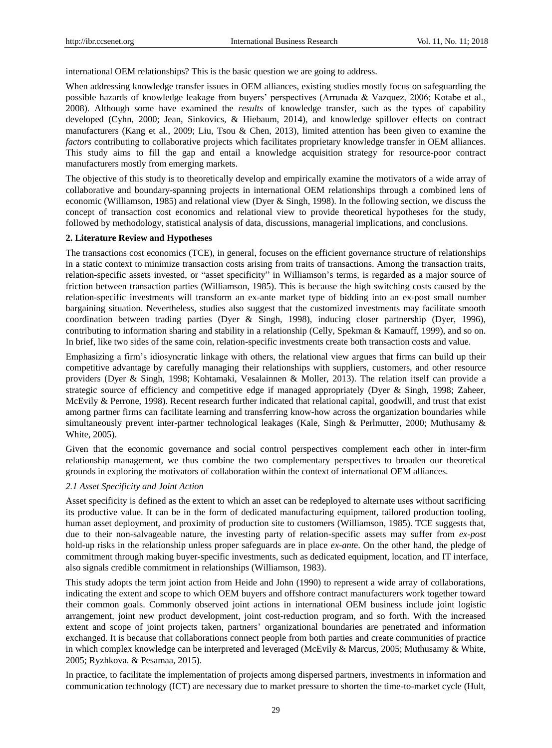international OEM relationships? This is the basic question we are going to address.

When addressing knowledge transfer issues in OEM alliances, existing studies mostly focus on safeguarding the possible hazards of knowledge leakage from buyers' perspectives (Arrunada & Vazquez, 2006; Kotabe et al., 2008). Although some have examined the *results* of knowledge transfer, such as the types of capability developed (Cyhn, 2000; Jean, Sinkovics, & Hiebaum, 2014), and knowledge spillover effects on contract manufacturers (Kang et al., 2009; Liu, Tsou & Chen, 2013), limited attention has been given to examine the *factors* contributing to collaborative projects which facilitates proprietary knowledge transfer in OEM alliances. This study aims to fill the gap and entail a knowledge acquisition strategy for resource-poor contract manufacturers mostly from emerging markets.

The objective of this study is to theoretically develop and empirically examine the motivators of a wide array of collaborative and boundary-spanning projects in international OEM relationships through a combined lens of economic (Williamson, 1985) and relational view (Dyer & Singh, 1998). In the following section, we discuss the concept of transaction cost economics and relational view to provide theoretical hypotheses for the study, followed by methodology, statistical analysis of data, discussions, managerial implications, and conclusions.

### **2. Literature Review and Hypotheses**

The transactions cost economics (TCE), in general, focuses on the efficient governance structure of relationships in a static context to minimize transaction costs arising from traits of transactions. Among the transaction traits, relation-specific assets invested, or "asset specificity" in Williamson's terms, is regarded as a major source of friction between transaction parties (Williamson, 1985). This is because the high switching costs caused by the relation-specific investments will transform an ex-ante market type of bidding into an ex-post small number bargaining situation. Nevertheless, studies also suggest that the customized investments may facilitate smooth coordination between trading parties (Dyer & Singh, 1998), inducing closer partnership (Dyer, 1996), contributing to information sharing and stability in a relationship (Celly, Spekman & Kamauff, 1999), and so on. In brief, like two sides of the same coin, relation-specific investments create both transaction costs and value.

Emphasizing a firm's idiosyncratic linkage with others, the relational view argues that firms can build up their competitive advantage by carefully managing their relationships with suppliers, customers, and other resource providers (Dyer & Singh, 1998; Kohtamaki, Vesalainnen & Moller, 2013). The relation itself can provide a strategic source of efficiency and competitive edge if managed appropriately (Dyer & Singh, 1998; Zaheer, McEvily & Perrone, 1998). Recent research further indicated that relational capital, goodwill, and trust that exist among partner firms can facilitate learning and transferring know-how across the organization boundaries while simultaneously prevent inter-partner technological leakages (Kale, Singh & Perlmutter, 2000; Muthusamy & White, 2005).

Given that the economic governance and social control perspectives complement each other in inter-firm relationship management, we thus combine the two complementary perspectives to broaden our theoretical grounds in exploring the motivators of collaboration within the context of international OEM alliances.

# *2.1 Asset Specificity and Joint Action*

Asset specificity is defined as the extent to which an asset can be redeployed to alternate uses without sacrificing its productive value. It can be in the form of dedicated manufacturing equipment, tailored production tooling, human asset deployment, and proximity of production site to customers (Williamson, 1985). TCE suggests that, due to their non-salvageable nature, the investing party of relation-specific assets may suffer from *ex-post* hold-up risks in the relationship unless proper safeguards are in place *ex-ant*e. On the other hand, the pledge of commitment through making buyer-specific investments, such as dedicated equipment, location, and IT interface, also signals credible commitment in relationships (Williamson, 1983).

This study adopts the term joint action from Heide and John (1990) to represent a wide array of collaborations, indicating the extent and scope to which OEM buyers and offshore contract manufacturers work together toward their common goals. Commonly observed joint actions in international OEM business include joint logistic arrangement, joint new product development, joint cost-reduction program, and so forth. With the increased extent and scope of joint projects taken, partners' organizational boundaries are penetrated and information exchanged. It is because that collaborations connect people from both parties and create communities of practice in which complex knowledge can be interpreted and leveraged (McEvily & Marcus, 2005; Muthusamy & White, 2005; Ryzhkova. & Pesamaa, 2015).

In practice, to facilitate the implementation of projects among dispersed partners, investments in information and communication technology (ICT) are necessary due to market pressure to shorten the time-to-market cycle (Hult,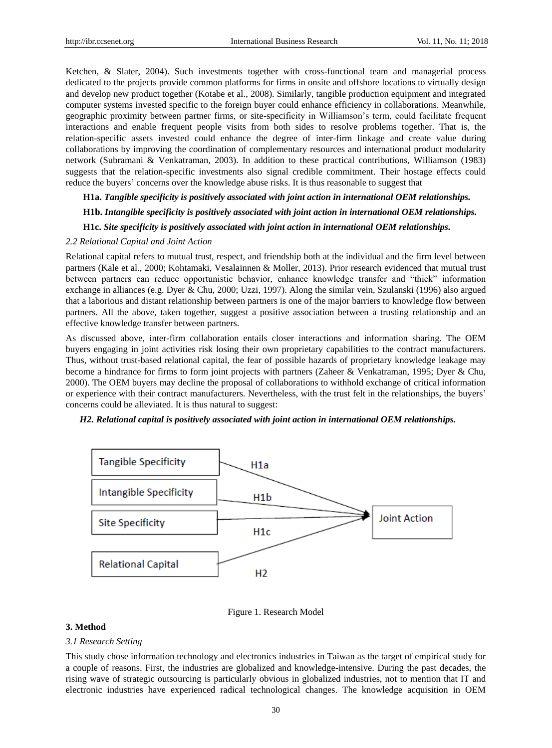Ketchen, & Slater, 2004). Such investments together with cross-functional team and managerial process dedicated to the projects provide common platforms for firms in onsite and offshore locations to virtually design and develop new product together (Kotabe et al., 2008). Similarly, tangible production equipment and integrated computer systems invested specific to the foreign buyer could enhance efficiency in collaborations. Meanwhile, geographic proximity between partner firms, or site-specificity in Williamson's term, could facilitate frequent interactions and enable frequent people visits from both sides to resolve problems together. That is, the relation-specific assets invested could enhance the degree of inter-firm linkage and create value during collaborations by improving the coordination of complementary resources and international product modularity network (Subramani & Venkatraman, 2003). In addition to these practical contributions, Williamson (1983) suggests that the relation-specific investments also signal credible commitment. Their hostage effects could reduce the buyers' concerns over the knowledge abuse risks. It is thus reasonable to suggest that

# **H1a.** *Tangible specificity is positively associated with joint action in international OEM relationships.*

**H1b.** *Intangible specificity is positively associated with joint action in international OEM relationships.*

# **H1c.** *Site specificity is positively associated with joint action in international OEM relationships.*

#### *2.2 Relational Capital and Joint Action*

Relational capital refers to mutual trust, respect, and friendship both at the individual and the firm level between partners (Kale et al., 2000; Kohtamaki, Vesalainnen & Moller, 2013). Prior research evidenced that mutual trust between partners can reduce opportunistic behavior, enhance knowledge transfer and "thick" information exchange in alliances (e.g. Dyer & Chu, 2000; Uzzi, 1997). Along the similar vein, Szulanski (1996) also argued that a laborious and distant relationship between partners is one of the major barriers to knowledge flow between partners. All the above, taken together, suggest a positive association between a trusting relationship and an effective knowledge transfer between partners.

As discussed above, inter-firm collaboration entails closer interactions and information sharing. The OEM buyers engaging in joint activities risk losing their own proprietary capabilities to the contract manufacturers. Thus, without trust-based relational capital, the fear of possible hazards of proprietary knowledge leakage may become a hindrance for firms to form joint projects with partners (Zaheer & Venkatraman, 1995; Dyer & Chu, 2000). The OEM buyers may decline the proposal of collaborations to withhold exchange of critical information or experience with their contract manufacturers. Nevertheless, with the trust felt in the relationships, the buyers' concerns could be alleviated. It is thus natural to suggest:

## *H2. Relational capital is positively associated with joint action in international OEM relationships.*



#### Figure 1. Research Model

## **3. Method**

#### *3.1 Research Setting*

This study chose information technology and electronics industries in Taiwan as the target of empirical study for a couple of reasons. First, the industries are globalized and knowledge-intensive. During the past decades, the rising wave of strategic outsourcing is particularly obvious in globalized industries, not to mention that IT and electronic industries have experienced radical technological changes. The knowledge acquisition in OEM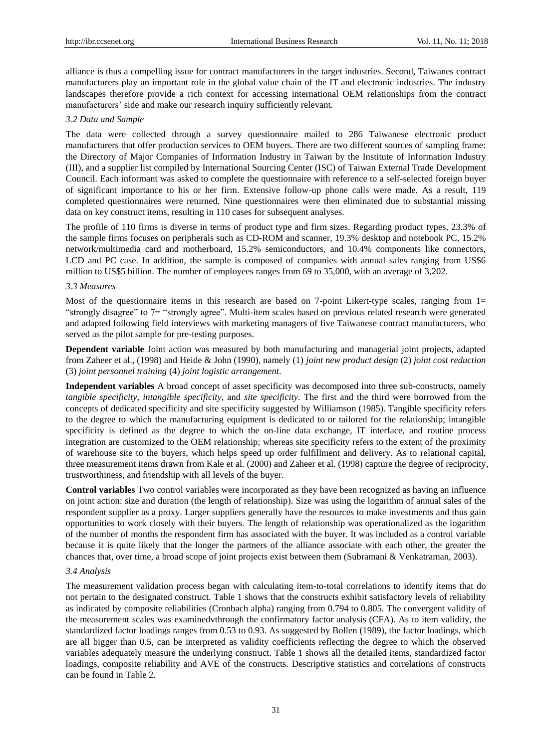alliance is thus a compelling issue for contract manufacturers in the target industries. Second, Taiwanes contract manufacturers play an important role in the global value chain of the IT and electronic industries. The industry landscapes therefore provide a rich context for accessing international OEM relationships from the contract manufacturers' side and make our research inquiry sufficiently relevant.

### *3.2 Data and Sample*

The data were collected through a survey questionnaire mailed to 286 Taiwanese electronic product manufacturers that offer production services to OEM buyers. There are two different sources of sampling frame: the Directory of Major Companies of Information Industry in Taiwan by the Institute of Information Industry (III), and a supplier list compiled by International Sourcing Center (ISC) of Taiwan External Trade Development Council. Each informant was asked to complete the questionnaire with reference to a self-selected foreign buyer of significant importance to his or her firm. Extensive follow-up phone calls were made. As a result, 119 completed questionnaires were returned. Nine questionnaires were then eliminated due to substantial missing data on key construct items, resulting in 110 cases for subsequent analyses.

The profile of 110 firms is diverse in terms of product type and firm sizes. Regarding product types, 23.3% of the sample firms focuses on peripherals such as CD-ROM and scanner, 19.3% desktop and notebook PC, 15.2% network/multimedia card and motherboard, 15.2% semiconductors, and 10.4% components like connectors, LCD and PC case. In addition, the sample is composed of companies with annual sales ranging from US\$6 million to US\$5 billion. The number of employees ranges from 69 to 35,000, with an average of 3,202.

#### *3.3 Measures*

Most of the questionnaire items in this research are based on 7-point Likert-type scales, ranging from  $1=$ "strongly disagree" to 7= "strongly agree". Multi-item scales based on previous related research were generated and adapted following field interviews with marketing managers of five Taiwanese contract manufacturers, who served as the pilot sample for pre-testing purposes.

**Dependent variable** Joint action was measured by both manufacturing and managerial joint projects, adapted from Zaheer et al., (1998) and Heide & John (1990), namely (1) *joint new product design* (2) *joint cost reduction*  (3) *joint personnel training* (4) *joint logistic arrangement*.

**Independent variables** A broad concept of asset specificity was decomposed into three sub-constructs, namely *tangible specificity*, *intangible specificity*, and *site specificity*. The first and the third were borrowed from the concepts of dedicated specificity and site specificity suggested by Williamson (1985). Tangible specificity refers to the degree to which the manufacturing equipment is dedicated to or tailored for the relationship; intangible specificity is defined as the degree to which the on-line data exchange, IT interface, and routine process integration are customized to the OEM relationship; whereas site specificity refers to the extent of the proximity of warehouse site to the buyers, which helps speed up order fulfillment and delivery. As to relational capital, three measurement items drawn from Kale et al. (2000) and Zaheer et al. (1998) capture the degree of reciprocity, trustworthiness, and friendship with all levels of the buyer.

**Control variables** Two control variables were incorporated as they have been recognized as having an influence on joint action: size and duration (the length of relationship). Size was using the logarithm of annual sales of the respondent supplier as a proxy. Larger suppliers generally have the resources to make investments and thus gain opportunities to work closely with their buyers. The length of relationship was operationalized as the logarithm of the number of months the respondent firm has associated with the buyer. It was included as a control variable because it is quite likely that the longer the partners of the alliance associate with each other, the greater the chances that, over time, a broad scope of joint projects exist between them (Subramani & Venkatraman, 2003).

#### *3.4 Analysis*

The measurement validation process began with calculating item-to-total correlations to identify items that do not pertain to the designated construct. Table 1 shows that the constructs exhibit satisfactory levels of reliability as indicated by composite reliabilities (Cronbach alpha) ranging from 0.794 to 0.805. The convergent validity of the measurement scales was examinedvthrough the confirmatory factor analysis (CFA). As to item validity, the standardized factor loadings ranges from 0.53 to 0.93. As suggested by Bollen (1989), the factor loadings, which are all bigger than 0.5, can be interpreted as validity coefficients reflecting the degree to which the observed variables adequately measure the underlying construct. Table 1 shows all the detailed items, standardized factor loadings, composite reliability and AVE of the constructs. Descriptive statistics and correlations of constructs can be found in Table 2.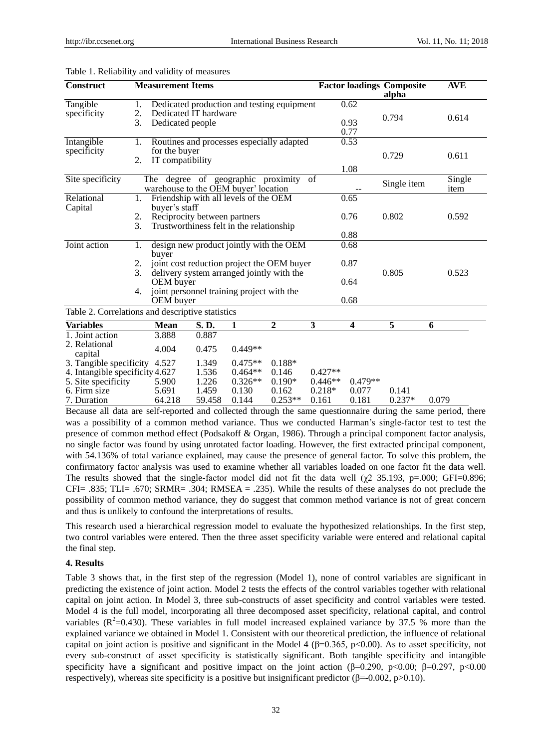| <b>Construct</b>                                                                        |                | <b>Measurement Items</b>                                            |                              |                                                                                   |                                                                                       |                        |                         | <b>Factor loadings Composite</b><br>alpha | <b>AVE</b>     |  |
|-----------------------------------------------------------------------------------------|----------------|---------------------------------------------------------------------|------------------------------|-----------------------------------------------------------------------------------|---------------------------------------------------------------------------------------|------------------------|-------------------------|-------------------------------------------|----------------|--|
| Tangible<br>specificity                                                                 | 1.<br>2.<br>3. | Dedicated people                                                    | Dedicated IT hardware        |                                                                                   | Dedicated production and testing equipment                                            |                        | 0.62<br>0.93<br>0.77    | 0.794                                     | 0.614          |  |
| Intangible<br>specificity                                                               | 1.<br>2.       | for the buyer<br>IT compatibility                                   |                              |                                                                                   | Routines and processes especially adapted                                             |                        | 0.53<br>1.08            | 0.729                                     | 0.611          |  |
| Site specificity                                                                        |                |                                                                     |                              | The degree of geographic proximity<br>warehouse to the OEM buyer' location        |                                                                                       | of                     |                         | Single item                               | Single<br>item |  |
| Relational<br>Capital                                                                   | 1.<br>2.<br>3. | buyer's staff                                                       | Reciprocity between partners | Friendship with all levels of the OEM<br>Trustworthiness felt in the relationship |                                                                                       |                        | 0.65<br>0.76            | 0.802                                     | 0.592          |  |
|                                                                                         |                |                                                                     |                              |                                                                                   |                                                                                       |                        | 0.88                    |                                           |                |  |
| Joint action                                                                            | 1.<br>2.<br>3. | buyer                                                               |                              | delivery system arranged jointly with the                                         | design new product jointly with the OEM<br>joint cost reduction project the OEM buyer |                        | 0.68<br>0.87            | 0.805                                     | 0.523          |  |
|                                                                                         | 4.             | OEM buyer<br>joint personnel training project with the<br>OEM buyer |                              |                                                                                   |                                                                                       |                        | 0.64<br>0.68            |                                           |                |  |
| Table 2. Correlations and descriptive statistics                                        |                |                                                                     |                              |                                                                                   |                                                                                       |                        |                         |                                           |                |  |
| <b>Variables</b>                                                                        |                | <b>Mean</b>                                                         | S.D.                         | 1                                                                                 | $\mathbf{2}$                                                                          | 3                      | $\overline{\mathbf{4}}$ | 5                                         | 6              |  |
| 1. Joint action<br>2. Relational<br>capital                                             |                | 3.888<br>4.004                                                      | 0.887<br>0.475               | $0.449**$                                                                         |                                                                                       |                        |                         |                                           |                |  |
| 3. Tangible specificity 4.527<br>4. Intangible specificity 4.627<br>5. Site specificity |                | 5.900                                                               | 1.349<br>1.536<br>1.226      | $0.475**$<br>$0.464**$<br>$0.326**$                                               | $0.188*$<br>0.146<br>$0.190*$                                                         | $0.427**$<br>$0.446**$ | $0.479**$               |                                           |                |  |
| 6. Firm size<br>7. Duration                                                             |                | 5.691<br>64.218                                                     | 1.459<br>59.458              | 0.130<br>0.144                                                                    | 0.162<br>$0.253**$                                                                    | $0.218*$<br>0.161      | 0.077<br>0.181          | 0.141<br>$0.237*$                         | 0.079          |  |

#### Table 1. Reliability and validity of measures

Because all data are self-reported and collected through the same questionnaire during the same period, there was a possibility of a common method variance. Thus we conducted Harman's single-factor test to test the presence of common method effect (Podsakoff & Organ, 1986). Through a principal component factor analysis, no single factor was found by using unrotated factor loading. However, the first extracted principal component, with 54.136% of total variance explained, may cause the presence of general factor. To solve this problem, the confirmatory factor analysis was used to examine whether all variables loaded on one factor fit the data well. The results showed that the single-factor model did not fit the data well ( $\chi$ 2 35.193, p=.000; GFI=0.896; CFI= .835; TLI= .670; SRMR= .304; RMSEA = .235). While the results of these analyses do not preclude the possibility of common method variance, they do suggest that common method variance is not of great concern and thus is unlikely to confound the interpretations of results.

This research used a hierarchical regression model to evaluate the hypothesized relationships. In the first step, two control variables were entered. Then the three asset specificity variable were entered and relational capital the final step.

## **4. Results**

Table 3 shows that, in the first step of the regression (Model 1), none of control variables are significant in predicting the existence of joint action. Model 2 tests the effects of the control variables together with relational capital on joint action. In Model 3, three sub-constructs of asset specificity and control variables were tested. Model 4 is the full model, incorporating all three decomposed asset specificity, relational capital, and control variables ( $R^2$ =0.430). These variables in full model increased explained variance by 37.5 % more than the explained variance we obtained in Model 1. Consistent with our theoretical prediction, the influence of relational capital on joint action is positive and significant in the Model 4 ( $\beta$ =0.365, p<0.00). As to asset specificity, not every sub-construct of asset specificity is statistically significant. Both tangible specificity and intangible specificity have a significant and positive impact on the joint action ( $\beta$ =0.290, p<0.00;  $\beta$ =0.297, p<0.00 respectively), whereas site specificity is a positive but insignificant predictor ( $\beta$ =-0.002, p>0.10).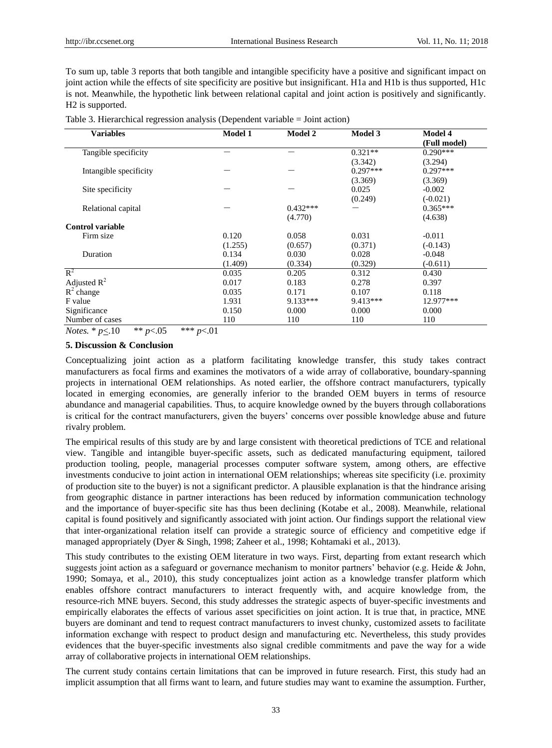To sum up, table 3 reports that both tangible and intangible specificity have a positive and significant impact on joint action while the effects of site specificity are positive but insignificant. H1a and H1b is thus supported, H1c is not. Meanwhile, the hypothetic link between relational capital and joint action is positively and significantly. H2 is supported.

Table 3. Hierarchical regression analysis (Dependent variable = Joint action)

| <b>Variables</b>        | <b>Model 1</b> | <b>Model 2</b> | <b>Model 3</b> | <b>Model 4</b> |
|-------------------------|----------------|----------------|----------------|----------------|
|                         |                |                |                | (Full model)   |
| Tangible specificity    |                |                | $0.321**$      | $0.290***$     |
|                         |                |                | (3.342)        | (3.294)        |
| Intangible specificity  |                |                | $0.297***$     | $0.297***$     |
|                         |                |                | (3.369)        | (3.369)        |
| Site specificity        |                |                | 0.025          | $-0.002$       |
|                         |                |                | (0.249)        | $(-0.021)$     |
| Relational capital      |                | $0.432***$     |                | $0.365***$     |
|                         |                | (4.770)        |                | (4.638)        |
| <b>Control variable</b> |                |                |                |                |
| Firm size               | 0.120          | 0.058          | 0.031          | $-0.011$       |
|                         | (1.255)        | (0.657)        | (0.371)        | $(-0.143)$     |
| Duration                | 0.134          | 0.030          | 0.028          | $-0.048$       |
|                         | (1.409)        | (0.334)        | (0.329)        | $(-0.611)$     |
| $R^2$                   | 0.035          | 0.205          | 0.312          | 0.430          |
| Adjusted $R^2$          | 0.017          | 0.183          | 0.278          | 0.397          |
| $R^2$ change            | 0.035          | 0.171          | 0.107          | 0.118          |
| F value                 | 1.931          | 9.133***       | $9.413***$     | 12.977***      |
| Significance            | 0.150          | 0.000          | 0.000          | 0.000          |
| Number of cases         | 110            | 110            | 110            | 110            |

*Notes.* \* *p*<.10 \*\* *p*<.05 \*\*\* *p*<.01

### **5. Discussion & Conclusion**

Conceptualizing joint action as a platform facilitating knowledge transfer, this study takes contract manufacturers as focal firms and examines the motivators of a wide array of collaborative, boundary-spanning projects in international OEM relationships. As noted earlier, the offshore contract manufacturers, typically located in emerging economies, are generally inferior to the branded OEM buyers in terms of resource abundance and managerial capabilities. Thus, to acquire knowledge owned by the buyers through collaborations is critical for the contract manufacturers, given the buyers' concerns over possible knowledge abuse and future rivalry problem.

The empirical results of this study are by and large consistent with theoretical predictions of TCE and relational view. Tangible and intangible buyer-specific assets, such as dedicated manufacturing equipment, tailored production tooling, people, managerial processes computer software system, among others, are effective investments conducive to joint action in international OEM relationships; whereas site specificity (i.e. proximity of production site to the buyer) is not a significant predictor. A plausible explanation is that the hindrance arising from geographic distance in partner interactions has been reduced by information communication technology and the importance of buyer-specific site has thus been declining (Kotabe et al., 2008). Meanwhile, relational capital is found positively and significantly associated with joint action. Our findings support the relational view that inter-organizational relation itself can provide a strategic source of efficiency and competitive edge if managed appropriately (Dyer & Singh, 1998; Zaheer et al., 1998; Kohtamaki et al., 2013).

This study contributes to the existing OEM literature in two ways. First, departing from extant research which suggests joint action as a safeguard or governance mechanism to monitor partners' behavior (e.g. Heide & John, 1990; Somaya, et al., 2010), this study conceptualizes joint action as a knowledge transfer platform which enables offshore contract manufacturers to interact frequently with, and acquire knowledge from, the resource-rich MNE buyers. Second*,* this study addresses the strategic aspects of buyer-specific investments and empirically elaborates the effects of various asset specificities on joint action. It is true that, in practice, MNE buyers are dominant and tend to request contract manufacturers to invest chunky, customized assets to facilitate information exchange with respect to product design and manufacturing etc. Nevertheless, this study provides evidences that the buyer-specific investments also signal credible commitments and pave the way for a wide array of collaborative projects in international OEM relationships.

The current study contains certain limitations that can be improved in future research. First, this study had an implicit assumption that all firms want to learn, and future studies may want to examine the assumption. Further,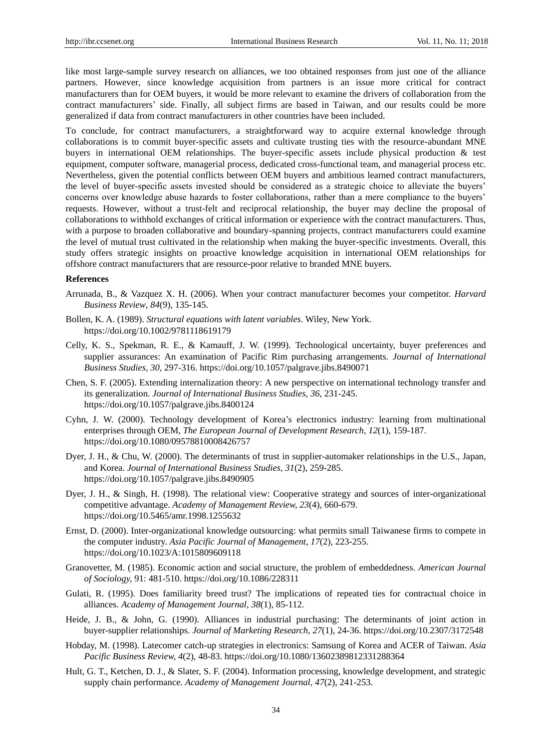like most large-sample survey research on alliances, we too obtained responses from just one of the alliance partners. However, since knowledge acquisition from partners is an issue more critical for contract manufacturers than for OEM buyers, it would be more relevant to examine the drivers of collaboration from the contract manufacturers' side. Finally, all subject firms are based in Taiwan, and our results could be more generalized if data from contract manufacturers in other countries have been included.

To conclude, for contract manufacturers, a straightforward way to acquire external knowledge through collaborations is to commit buyer-specific assets and cultivate trusting ties with the resource-abundant MNE buyers in international OEM relationships. The buyer-specific assets include physical production & test equipment, computer software, managerial process, dedicated cross-functional team, and managerial process etc. Nevertheless, given the potential conflicts between OEM buyers and ambitious learned contract manufacturers, the level of buyer-specific assets invested should be considered as a strategic choice to alleviate the buyers' concerns over knowledge abuse hazards to foster collaborations, rather than a mere compliance to the buyers' requests. However, without a trust-felt and reciprocal relationship, the buyer may decline the proposal of collaborations to withhold exchanges of critical information or experience with the contract manufacturers. Thus, with a purpose to broaden collaborative and boundary-spanning projects, contract manufacturers could examine the level of mutual trust cultivated in the relationship when making the buyer-specific investments. Overall, this study offers strategic insights on proactive knowledge acquisition in international OEM relationships for offshore contract manufacturers that are resource-poor relative to branded MNE buyers.

#### **References**

- Arrunada, B., & Vazquez X. H. (2006). When your contract manufacturer becomes your competitor. *Harvard Business Review*, *84*(9), 135-145.
- Bollen, K. A. (1989). *Structural equations with latent variables*. Wiley, New York. <https://doi.org/10.1002/9781118619179>
- Celly, K. S., Spekman, R. E., & Kamauff, J. W. (1999). Technological uncertainty, buyer preferences and supplier assurances: An examination of Pacific Rim purchasing arrangements. *Journal of International Business Studies, 30,* 297-316[. https://doi.org/10.1057/palgrave.jibs.8490071](https://doi.org/10.1057/palgrave.jibs.8490071)
- Chen, S. F. (2005). Extending internalization theory: A new perspective on international technology transfer and its generalization. *Journal of International Business Studies*, *36,* 231-245. <https://doi.org/10.1057/palgrave.jibs.8400124>
- Cyhn, J. W. (2000). Technology development of Korea's electronics industry: learning from multinational enterprises through OEM, *The European Journal of Development Research*, *12*(1), 159-187. <https://doi.org/10.1080/09578810008426757>
- Dyer, J. H., & Chu, W. (2000). The determinants of trust in supplier-automaker relationships in the U.S., Japan, and Korea. *Journal of International Business Studies, 31*(2), 259-285. <https://doi.org/10.1057/palgrave.jibs.8490905>
- Dyer, J. H., & Singh, H. (1998). The relational view: Cooperative strategy and sources of inter-organizational competitive advantage. *Academy of Management Review, 23*(4), 660-679. <https://doi.org/10.5465/amr.1998.1255632>
- Ernst, D. (2000). Inter-organizational knowledge outsourcing: what permits small Taiwanese firms to compete in the computer industry. *Asia Pacific Journal of Management*, *17*(2), 223-255. <https://doi.org/10.1023/A:1015809609118>
- Granovetter, M. (1985). Economic action and social structure, the problem of embeddedness. *American Journal of Sociology,* 91: 481-510[. https://doi.org/10.1086/228311](https://doi.org/10.1086/228311)
- Gulati, R. (1995). Does familiarity breed trust? The implications of repeated ties for contractual choice in alliances. *Academy of Management Journal*, *38*(1), 85-112.
- Heide, J. B., & John, G. (1990). Alliances in industrial purchasing: The determinants of joint action in buyer-supplier relationships. *Journal of Marketing Research, 27*(1), 24-36[. https://doi.org/10.2307/3172548](https://doi.org/10.2307/3172548)
- Hobday, M. (1998). Latecomer catch-up strategies in electronics: Samsung of Korea and ACER of Taiwan. *Asia Pacific Business Review, 4*(2), 48-83.<https://doi.org/10.1080/13602389812331288364>
- Hult, G. T., Ketchen, D. J., & Slater, S. F. (2004). Information processing, knowledge development, and strategic supply chain performance. *Academy of Management Journal*, *47*(2), 241-253.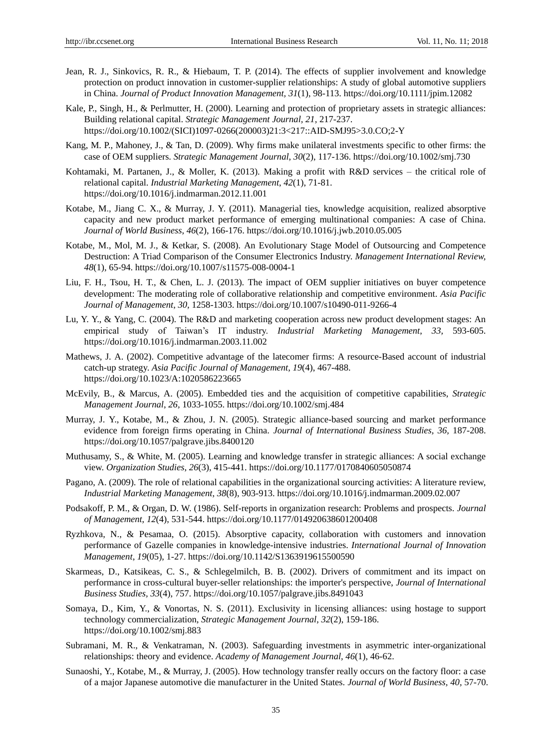- Jean, R. J., Sinkovics, R. R., & Hiebaum, T. P. (2014). The effects of supplier involvement and knowledge protection on product innovation in customer-supplier relationships: A study of global automotive suppliers in China. *Journal of Product Innovation Management, 31*(1), 98-113.<https://doi.org/10.1111/jpim.12082>
- Kale, P., Singh, H., & Perlmutter, H. (2000). Learning and protection of proprietary assets in strategic alliances: Building relational capital. *Strategic Management Journal, 21,* 217-237. [https://doi.org/10.1002/\(SICI\)1097-0266\(200003\)21:3<217::AID-SMJ95>3.0.CO;2-Y](https://doi.org/10.1002/(SICI)1097-0266(200003)21:3%3C217::AID-SMJ95%3E3.0.CO;2-Y)
- Kang, M. P., Mahoney, J., & Tan, D. (2009). Why firms make unilateral investments specific to other firms: the case of OEM suppliers. *Strategic Management Journal*, *30*(2), 117-136.<https://doi.org/10.1002/smj.730>
- Kohtamaki, M. Partanen, J., & Moller, K. (2013). Making a profit with R&D services the critical role of relational capital. *Industrial Marketing Management*, *42*(1), 71-81. <https://doi.org/10.1016/j.indmarman.2012.11.001>
- Kotabe, M., Jiang C. X., & Murray, J. Y. (2011). Managerial ties, knowledge acquisition, realized absorptive capacity and new product market performance of emerging multinational companies: A case of China. *Journal of World Business*, *46*(2), 166-176.<https://doi.org/10.1016/j.jwb.2010.05.005>
- Kotabe, M., Mol, M. J., & Ketkar, S. (2008). An Evolutionary Stage Model of Outsourcing and Competence Destruction: A Triad Comparison of the Consumer Electronics Industry. *Management International Review, 48*(1), 65-94.<https://doi.org/10.1007/s11575-008-0004-1>
- Liu, F. H., Tsou, H. T., & Chen, L. J. (2013). The impact of OEM supplier initiatives on buyer competence development: The moderating role of collaborative relationship and competitive environment. *Asia Pacific Journal of Management*, *30,* 1258-1303.<https://doi.org/10.1007/s10490-011-9266-4>
- Lu, Y. Y., & Yang, C. (2004). The R&D and marketing cooperation across new product development stages: An empirical study of Taiwan's IT industry. *Industrial Marketing Management*, *33,* 593-605. <https://doi.org/10.1016/j.indmarman.2003.11.002>
- Mathews, J. A. (2002). Competitive advantage of the latecomer firms: A resource-Based account of industrial catch-up strategy. *Asia Pacific Journal of Management, 19*(4), 467-488. <https://doi.org/10.1023/A:1020586223665>
- McEvily, B., & Marcus, A. (2005). Embedded ties and the acquisition of competitive capabilities, *Strategic Management Journal*, *26,* 1033-1055.<https://doi.org/10.1002/smj.484>
- Murray, J. Y., Kotabe, M., & Zhou, J. N. (2005). Strategic alliance-based sourcing and market performance evidence from foreign firms operating in China. *Journal of International Business Studies, 36,* 187-208. <https://doi.org/10.1057/palgrave.jibs.8400120>
- Muthusamy, S., & White, M. (2005). Learning and knowledge transfer in strategic alliances: A social exchange view. *Organization Studies*, *26*(3), 415-441.<https://doi.org/10.1177/0170840605050874>
- Pagano, A. (2009). The role of relational capabilities in the organizational sourcing activities: A literature review, *Industrial Marketing Management*, *38*(8), 903-913.<https://doi.org/10.1016/j.indmarman.2009.02.007>
- Podsakoff, P. M., & Organ, D. W. (1986). Self-reports in organization research: Problems and prospects. *Journal of Management*, *12*(4), 531-544.<https://doi.org/10.1177/014920638601200408>
- Ryzhkova, N., & Pesamaa, O. (2015). Absorptive capacity, collaboration with customers and innovation performance of Gazelle companies in knowledge-intensive industries. *International Journal of Innovation Management*, *19*(05), 1-27.<https://doi.org/10.1142/S1363919615500590>
- Skarmeas, D., Katsikeas, C. S., & Schlegelmilch, B. B. (2002). Drivers of commitment and its impact on performance in cross-cultural buyer-seller relationships: the importer's perspective, *Journal of International Business Studies, 33*(4), 757.<https://doi.org/10.1057/palgrave.jibs.8491043>
- Somaya, D., Kim, Y., & Vonortas, N. S. (2011). Exclusivity in licensing alliances: using hostage to support technology commercialization, *Strategic Management Journal*, *32*(2), 159-186. <https://doi.org/10.1002/smj.883>
- Subramani, M. R., & Venkatraman, N. (2003). Safeguarding investments in asymmetric inter-organizational relationships: theory and evidence. *Academy of Management Journal, 46*(1), 46-62.
- Sunaoshi, Y., Kotabe, M., & Murray, J. (2005). How technology transfer really occurs on the factory floor: a case of a major Japanese automotive die manufacturer in the United States. *Journal of World Business, 40,* 57-70.